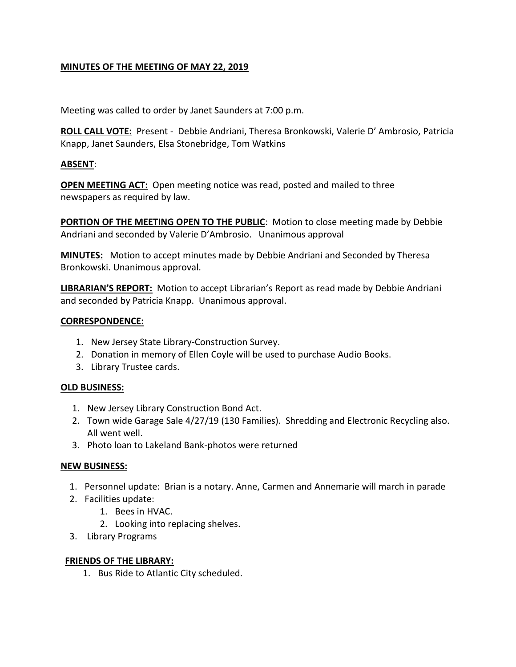## **MINUTES OF THE MEETING OF MAY 22, 2019**

Meeting was called to order by Janet Saunders at 7:00 p.m.

**ROLL CALL VOTE:** Present - Debbie Andriani, Theresa Bronkowski, Valerie D' Ambrosio, Patricia Knapp, Janet Saunders, Elsa Stonebridge, Tom Watkins

#### **ABSENT**:

**OPEN MEETING ACT:** Open meeting notice was read, posted and mailed to three newspapers as required by law.

**PORTION OF THE MEETING OPEN TO THE PUBLIC:** Motion to close meeting made by Debbie Andriani and seconded by Valerie D'Ambrosio. Unanimous approval

**MINUTES:** Motion to accept minutes made by Debbie Andriani and Seconded by Theresa Bronkowski. Unanimous approval.

**LIBRARIAN'S REPORT:** Motion to accept Librarian's Report as read made by Debbie Andriani and seconded by Patricia Knapp. Unanimous approval.

#### **CORRESPONDENCE:**

- 1. New Jersey State Library-Construction Survey.
- 2. Donation in memory of Ellen Coyle will be used to purchase Audio Books.
- 3. Library Trustee cards.

## **OLD BUSINESS:**

- 1. New Jersey Library Construction Bond Act.
- 2. Town wide Garage Sale 4/27/19 (130 Families). Shredding and Electronic Recycling also. All went well.
- 3. Photo loan to Lakeland Bank-photos were returned

## **NEW BUSINESS:**

- 1. Personnel update: Brian is a notary. Anne, Carmen and Annemarie will march in parade
- 2. Facilities update:
	- 1. Bees in HVAC.
	- 2. Looking into replacing shelves.
- 3. Library Programs

## **FRIENDS OF THE LIBRARY:**

1. Bus Ride to Atlantic City scheduled.